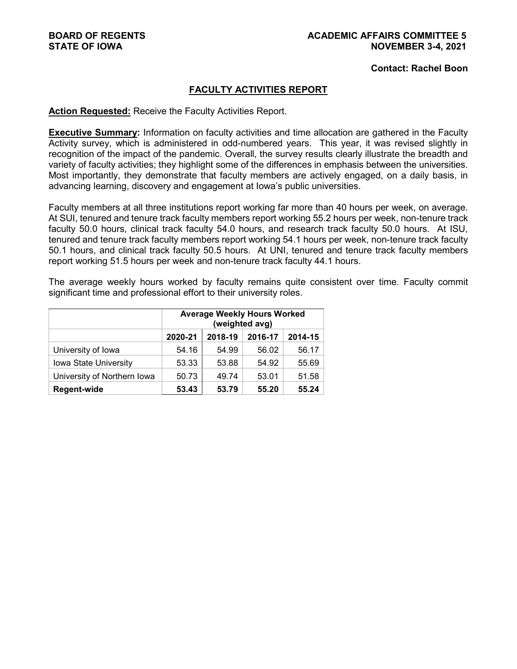**Contact: Rachel Boon**

#### **FACULTY ACTIVITIES REPORT**

#### **Action Requested:** Receive the Faculty Activities Report.

**Executive Summary:** Information on faculty activities and time allocation are gathered in the Faculty Activity survey, which is administered in odd-numbered years. This year, it was revised slightly in recognition of the impact of the pandemic. Overall, the survey results clearly illustrate the breadth and variety of faculty activities; they highlight some of the differences in emphasis between the universities. Most importantly, they demonstrate that faculty members are actively engaged, on a daily basis, in advancing learning, discovery and engagement at Iowa's public universities.

Faculty members at all three institutions report working far more than 40 hours per week, on average. At SUI, tenured and tenure track faculty members report working 55.2 hours per week, non-tenure track faculty 50.0 hours, clinical track faculty 54.0 hours, and research track faculty 50.0 hours. At ISU, tenured and tenure track faculty members report working 54.1 hours per week, non-tenure track faculty 50.1 hours, and clinical track faculty 50.5 hours. At UNI, tenured and tenure track faculty members report working 51.5 hours per week and non-tenure track faculty 44.1 hours.

The average weekly hours worked by faculty remains quite consistent over time. Faculty commit significant time and professional effort to their university roles.

|                             | <b>Average Weekly Hours Worked</b><br>(weighted avg) |         |         |         |  |  |  |  |  |
|-----------------------------|------------------------------------------------------|---------|---------|---------|--|--|--|--|--|
|                             | 2020-21                                              | 2018-19 | 2016-17 | 2014-15 |  |  |  |  |  |
| University of Iowa          | 54.16                                                | 54.99   | 56.02   | 56.17   |  |  |  |  |  |
| Iowa State University       | 53.33                                                | 53.88   | 54.92   | 55.69   |  |  |  |  |  |
| University of Northern Iowa | 50.73                                                | 49.74   | 53.01   | 51.58   |  |  |  |  |  |
| <b>Regent-wide</b>          | 53.43                                                | 53.79   | 55.20   | 55.24   |  |  |  |  |  |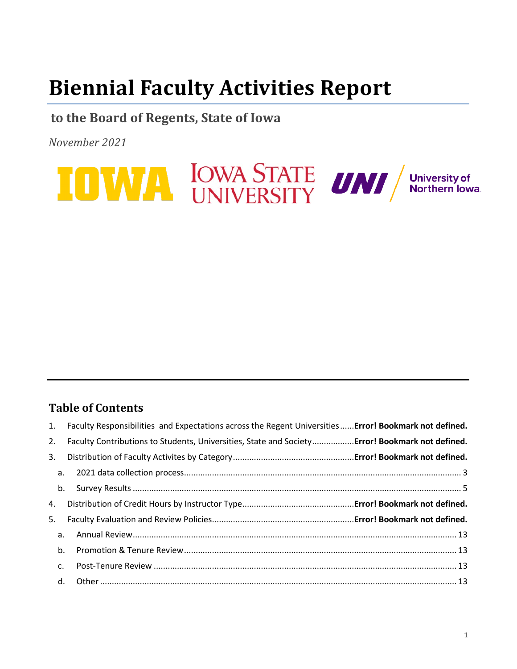# **Biennial Faculty Activities Report**

# **to the Board of Regents, State of Iowa**

*November 2021*



# **Table of Contents**

|    |             | 1. Faculty Responsibilities and Expectations across the Regent Universities Error! Bookmark not defined. |
|----|-------------|----------------------------------------------------------------------------------------------------------|
| 2. |             | Faculty Contributions to Students, Universities, State and SocietyError! Bookmark not defined.           |
| 3. |             |                                                                                                          |
|    |             |                                                                                                          |
|    |             |                                                                                                          |
| 4. |             |                                                                                                          |
| 5. |             |                                                                                                          |
|    |             |                                                                                                          |
|    | b.          |                                                                                                          |
|    | $C_{\cdot}$ |                                                                                                          |
|    |             |                                                                                                          |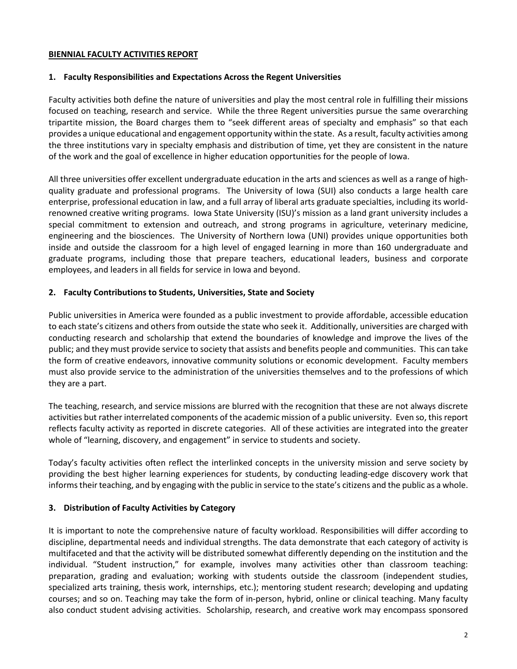#### **BIENNIAL FACULTY ACTIVITIES REPORT**

#### **1. Faculty Responsibilities and Expectations Across the Regent Universities**

Faculty activities both define the nature of universities and play the most central role in fulfilling their missions focused on teaching, research and service. While the three Regent universities pursue the same overarching tripartite mission, the Board charges them to "seek different areas of specialty and emphasis" so that each provides a unique educational and engagement opportunity within the state. As a result, faculty activities among the three institutions vary in specialty emphasis and distribution of time, yet they are consistent in the nature of the work and the goal of excellence in higher education opportunities for the people of Iowa.

All three universities offer excellent undergraduate education in the arts and sciences as well as a range of highquality graduate and professional programs. The University of Iowa (SUI) also conducts a large health care enterprise, professional education in law, and a full array of liberal arts graduate specialties, including its worldrenowned creative writing programs. Iowa State University (ISU)'s mission as a land grant university includes a special commitment to extension and outreach, and strong programs in agriculture, veterinary medicine, engineering and the biosciences. The University of Northern Iowa (UNI) provides unique opportunities both inside and outside the classroom for a high level of engaged learning in more than 160 undergraduate and graduate programs, including those that prepare teachers, educational leaders, business and corporate employees, and leaders in all fields for service in Iowa and beyond.

#### **2. Faculty Contributions to Students, Universities, State and Society**

Public universities in America were founded as a public investment to provide affordable, accessible education to each state's citizens and others from outside the state who seek it. Additionally, universities are charged with conducting research and scholarship that extend the boundaries of knowledge and improve the lives of the public; and they must provide service to society that assists and benefits people and communities. This can take the form of creative endeavors, innovative community solutions or economic development. Faculty members must also provide service to the administration of the universities themselves and to the professions of which they are a part.

The teaching, research, and service missions are blurred with the recognition that these are not always discrete activities but rather interrelated components of the academic mission of a public university. Even so, this report reflects faculty activity as reported in discrete categories. All of these activities are integrated into the greater whole of "learning, discovery, and engagement" in service to students and society.

Today's faculty activities often reflect the interlinked concepts in the university mission and serve society by providing the best higher learning experiences for students, by conducting leading-edge discovery work that informs their teaching, and by engaging with the public in service to the state's citizens and the public as a whole.

#### **3. Distribution of Faculty Activities by Category**

It is important to note the comprehensive nature of faculty workload. Responsibilities will differ according to discipline, departmental needs and individual strengths. The data demonstrate that each category of activity is multifaceted and that the activity will be distributed somewhat differently depending on the institution and the individual. "Student instruction," for example, involves many activities other than classroom teaching: preparation, grading and evaluation; working with students outside the classroom (independent studies, specialized arts training, thesis work, internships, etc.); mentoring student research; developing and updating courses; and so on. Teaching may take the form of in-person, hybrid, online or clinical teaching. Many faculty also conduct student advising activities. Scholarship, research, and creative work may encompass sponsored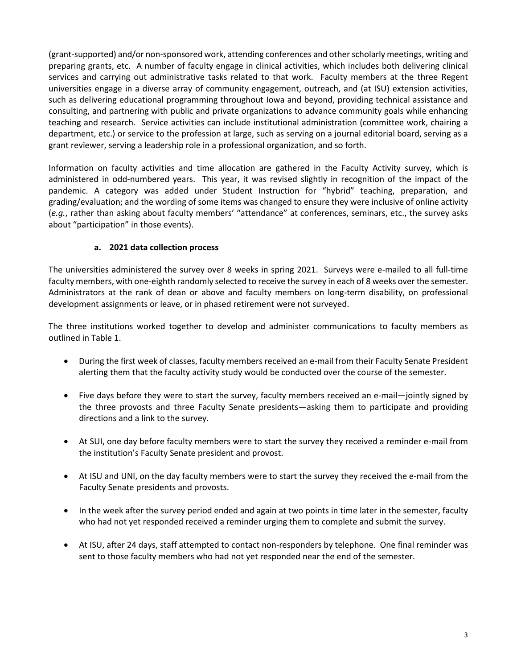(grant-supported) and/or non-sponsored work, attending conferences and other scholarly meetings, writing and preparing grants, etc. A number of faculty engage in clinical activities, which includes both delivering clinical services and carrying out administrative tasks related to that work. Faculty members at the three Regent universities engage in a diverse array of community engagement, outreach, and (at ISU) extension activities, such as delivering educational programming throughout Iowa and beyond, providing technical assistance and consulting, and partnering with public and private organizations to advance community goals while enhancing teaching and research. Service activities can include institutional administration (committee work, chairing a department, etc.) or service to the profession at large, such as serving on a journal editorial board, serving as a grant reviewer, serving a leadership role in a professional organization, and so forth.

Information on faculty activities and time allocation are gathered in the Faculty Activity survey, which is administered in odd-numbered years. This year, it was revised slightly in recognition of the impact of the pandemic. A category was added under Student Instruction for "hybrid" teaching, preparation, and grading/evaluation; and the wording of some items was changed to ensure they were inclusive of online activity (*e.g.*, rather than asking about faculty members' "attendance" at conferences, seminars, etc., the survey asks about "participation" in those events).

#### **a. 2021 data collection process**

<span id="page-3-0"></span>The universities administered the survey over 8 weeks in spring 2021. Surveys were e-mailed to all full-time faculty members, with one-eighth randomly selected to receive the survey in each of 8 weeks over the semester. Administrators at the rank of dean or above and faculty members on long-term disability, on professional development assignments or leave, or in phased retirement were not surveyed.

The three institutions worked together to develop and administer communications to faculty members as outlined in Table 1.

- During the first week of classes, faculty members received an e-mail from their Faculty Senate President alerting them that the faculty activity study would be conducted over the course of the semester.
- Five days before they were to start the survey, faculty members received an e-mail—jointly signed by the three provosts and three Faculty Senate presidents—asking them to participate and providing directions and a link to the survey.
- At SUI, one day before faculty members were to start the survey they received a reminder e-mail from the institution's Faculty Senate president and provost.
- At ISU and UNI, on the day faculty members were to start the survey they received the e-mail from the Faculty Senate presidents and provosts.
- In the week after the survey period ended and again at two points in time later in the semester, faculty who had not yet responded received a reminder urging them to complete and submit the survey.
- At ISU, after 24 days, staff attempted to contact non-responders by telephone. One final reminder was sent to those faculty members who had not yet responded near the end of the semester.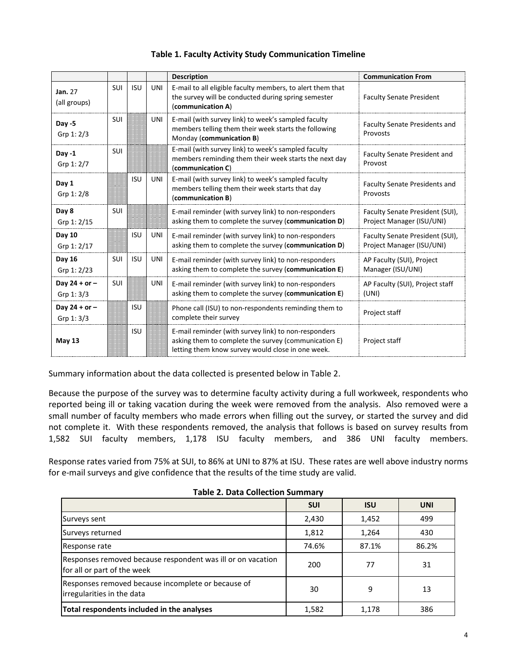|                               |            |            |            | <b>Description</b>                                                                                                                                                | <b>Communication From</b>                                    |
|-------------------------------|------------|------------|------------|-------------------------------------------------------------------------------------------------------------------------------------------------------------------|--------------------------------------------------------------|
| Jan. 27<br>(all groups)       | <b>SUI</b> | <b>ISU</b> | UNI        | E-mail to all eligible faculty members, to alert them that<br>the survey will be conducted during spring semester<br>(communication A)                            | <b>Faculty Senate President</b>                              |
| $Day -5$<br>Grp 1: 2/3        | SUI        |            | UNI        | E-mail (with survey link) to week's sampled faculty<br>members telling them their week starts the following<br>Monday (communication B)                           | Faculty Senate Presidents and<br>Provosts                    |
| Day $-1$<br>Grp 1: 2/7        | <b>SUI</b> |            |            | E-mail (with survey link) to week's sampled faculty<br>members reminding them their week starts the next day<br>(communication C)                                 | <b>Faculty Senate President and</b><br>Provost               |
| Day 1<br>Grp 1: 2/8           |            | <b>ISU</b> | UNI        | E-mail (with survey link) to week's sampled faculty<br>members telling them their week starts that day<br>(communication B)                                       | <b>Faculty Senate Presidents and</b><br>Provosts             |
| Day 8<br>Grp 1: 2/15          | <b>SUI</b> |            |            | E-mail reminder (with survey link) to non-responders<br>asking them to complete the survey (communication D)                                                      | Faculty Senate President (SUI),<br>Project Manager (ISU/UNI) |
| Day 10<br>Grp 1: 2/17         |            | <b>ISU</b> | UNI        | E-mail reminder (with survey link) to non-responders<br>asking them to complete the survey (communication D)                                                      | Faculty Senate President (SUI),<br>Project Manager (ISU/UNI) |
| Day 16<br>Grp 1: 2/23         | <b>SUI</b> | <b>ISU</b> | UNI        | E-mail reminder (with survey link) to non-responders<br>asking them to complete the survey (communication E)                                                      | AP Faculty (SUI), Project<br>Manager (ISU/UNI)               |
| Day $24 + or -$<br>Grp 1: 3/3 | SUI        |            | <b>UNI</b> | E-mail reminder (with survey link) to non-responders<br>asking them to complete the survey (communication E)                                                      | AP Faculty (SUI), Project staff<br>(UNI)                     |
| Day $24 + or -$<br>Grp 1: 3/3 |            | <b>ISU</b> |            | Phone call (ISU) to non-respondents reminding them to<br>complete their survey                                                                                    | Project staff                                                |
| <b>May 13</b>                 |            | <b>ISU</b> |            | E-mail reminder (with survey link) to non-responders<br>asking them to complete the survey (communication E)<br>letting them know survey would close in one week. | Project staff                                                |

#### **Table 1. Faculty Activity Study Communication Timeline**

Summary information about the data collected is presented below in Table 2.

Because the purpose of the survey was to determine faculty activity during a full workweek, respondents who reported being ill or taking vacation during the week were removed from the analysis. Also removed were a small number of faculty members who made errors when filling out the survey, or started the survey and did not complete it. With these respondents removed, the analysis that follows is based on survey results from 1,582 SUI faculty members, 1,178 ISU faculty members, and 386 UNI faculty members.

Response rates varied from 75% at SUI, to 86% at UNI to 87% at ISU. These rates are well above industry norms for e-mail surveys and give confidence that the results of the time study are valid.

| Table 2. Data concetion Samman                                                             |            |            |            |
|--------------------------------------------------------------------------------------------|------------|------------|------------|
|                                                                                            | <b>SUI</b> | <b>ISU</b> | <b>UNI</b> |
| Surveys sent                                                                               | 2,430      | 1,452      | 499        |
| Surveys returned                                                                           | 1,812      | 1,264      | 430        |
| Response rate                                                                              | 74.6%      | 87.1%      | 86.2%      |
| Responses removed because respondent was ill or on vacation<br>for all or part of the week | 200        | 77         | 31         |
| Responses removed because incomplete or because of<br>irregularities in the data           | 30         | 9          | 13         |
| Total respondents included in the analyses                                                 | 1,582      | 1,178      | 386        |

### **Table 2. Data Collection Summary**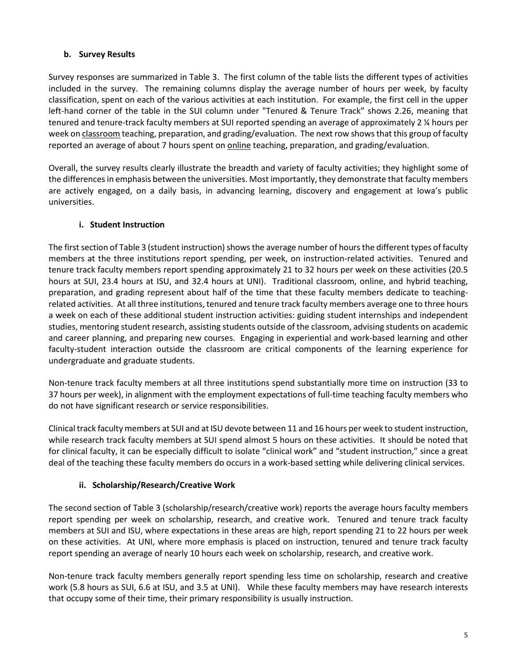# <span id="page-5-0"></span>**b. Survey Results**

Survey responses are summarized in Table 3. The first column of the table lists the different types of activities included in the survey. The remaining columns display the average number of hours per week, by faculty classification, spent on each of the various activities at each institution. For example, the first cell in the upper left-hand corner of the table in the SUI column under "Tenured & Tenure Track" shows 2.26, meaning that tenured and tenure-track faculty members at SUI reported spending an average of approximately 2 ¼ hours per week on classroom teaching, preparation, and grading/evaluation. The next row shows that this group of faculty reported an average of about 7 hours spent on online teaching, preparation, and grading/evaluation.

Overall, the survey results clearly illustrate the breadth and variety of faculty activities; they highlight some of the differences in emphasis between the universities. Most importantly, they demonstrate that faculty members are actively engaged, on a daily basis, in advancing learning, discovery and engagement at Iowa's public universities.

#### **i. Student Instruction**

The first section of Table 3 (student instruction) shows the average number of hours the different types of faculty members at the three institutions report spending, per week, on instruction-related activities. Tenured and tenure track faculty members report spending approximately 21 to 32 hours per week on these activities (20.5 hours at SUI, 23.4 hours at ISU, and 32.4 hours at UNI). Traditional classroom, online, and hybrid teaching, preparation, and grading represent about half of the time that these faculty members dedicate to teachingrelated activities. At all three institutions, tenured and tenure track faculty members average one to three hours a week on each of these additional student instruction activities: guiding student internships and independent studies, mentoring student research, assisting students outside of the classroom, advising students on academic and career planning, and preparing new courses. Engaging in experiential and work-based learning and other faculty-student interaction outside the classroom are critical components of the learning experience for undergraduate and graduate students.

Non-tenure track faculty members at all three institutions spend substantially more time on instruction (33 to 37 hours per week), in alignment with the employment expectations of full-time teaching faculty members who do not have significant research or service responsibilities.

Clinical track faculty members at SUI and at ISU devote between 11 and 16 hours per week to student instruction, while research track faculty members at SUI spend almost 5 hours on these activities. It should be noted that for clinical faculty, it can be especially difficult to isolate "clinical work" and "student instruction," since a great deal of the teaching these faculty members do occurs in a work-based setting while delivering clinical services.

#### **ii. Scholarship/Research/Creative Work**

The second section of Table 3 (scholarship/research/creative work) reports the average hours faculty members report spending per week on scholarship, research, and creative work. Tenured and tenure track faculty members at SUI and ISU, where expectations in these areas are high, report spending 21 to 22 hours per week on these activities. At UNI, where more emphasis is placed on instruction, tenured and tenure track faculty report spending an average of nearly 10 hours each week on scholarship, research, and creative work.

Non-tenure track faculty members generally report spending less time on scholarship, research and creative work (5.8 hours as SUI, 6.6 at ISU, and 3.5 at UNI). While these faculty members may have research interests that occupy some of their time, their primary responsibility is usually instruction.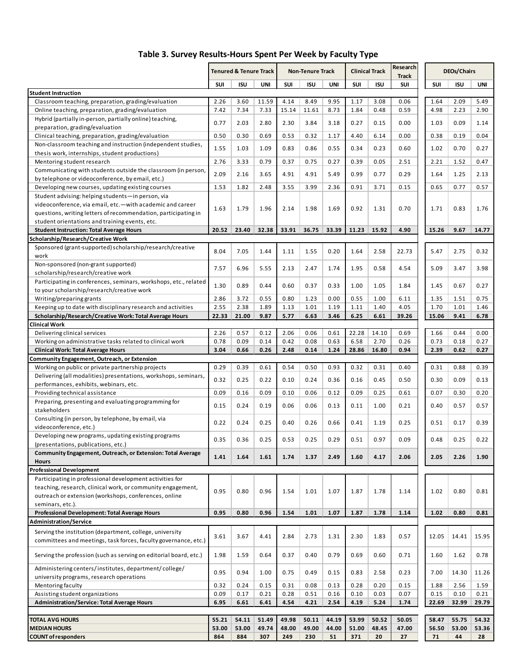|                                                                                                                            | <b>Tenured &amp; Tenure Track</b> |              | <b>Non-Tenure Track</b> |              | <b>Clinical Track</b> |              | Research<br><b>Track</b> |              | <b>DEOs/Chairs</b> |              |              |              |
|----------------------------------------------------------------------------------------------------------------------------|-----------------------------------|--------------|-------------------------|--------------|-----------------------|--------------|--------------------------|--------------|--------------------|--------------|--------------|--------------|
|                                                                                                                            | <b>SUI</b>                        | <b>ISU</b>   | UNI                     | SUI          | <b>ISU</b>            | UNI          | <b>SUI</b>               | <b>ISU</b>   | SUI                | <b>SUI</b>   | <b>ISU</b>   | UNI          |
| <b>Student Instruction</b>                                                                                                 |                                   |              |                         |              |                       |              |                          |              |                    |              |              |              |
| Classroom teaching, preparation, grading/evaluation                                                                        | 2.26                              | 3.60         | 11.59                   | 4.14         | 8.49                  | 9.95         | 1.17                     | 3.08         | 0.06               | 1.64         | 2.09         | 5.49         |
| Online teaching, preparation, grading/evaluation                                                                           | 7.42                              | 7.34         | 7.33                    | 15.14        | 11.61                 | 8.73         | 1.84                     | 0.48         | 0.59               | 4.98         | 2.23         | 2.90         |
| Hybrid (partially in-person, partially online) teaching,<br>preparation, grading/evaluation                                | 0.77                              | 2.03         | 2.80                    | 2.30         | 3.84                  | 3.18         | 0.27                     | 0.15         | 0.00               | 1.03         | 0.09         | 1.14         |
| Clinical teaching, preparation, grading/evaluation                                                                         | 0.50                              | 0.30         | 0.69                    | 0.53         | 0.32                  | 1.17         | 4.40                     | 6.14         | 0.00               | 0.38         | 0.19         | 0.04         |
| Non-classroom teaching and instruction (independent studies,                                                               |                                   |              |                         |              |                       |              |                          |              |                    |              |              |              |
| thesis work, internships, student productions)                                                                             | 1.55                              | 1.03         | 1.09                    | 0.83         | 0.86                  | 0.55         | 0.34                     | 0.23         | 0.60               | 1.02         | 0.70         | 0.27         |
| Mentoring student research                                                                                                 | 2.76                              | 3.33         | 0.79                    | 0.37         | 0.75                  | 0.27         | 0.39                     | 0.05         | 2.51               | 2.21         | 1.52         | 0.47         |
| Communicating with students outside the classroom (in person,                                                              | 2.09                              | 2.16         | 3.65                    | 4.91         | 4.91                  | 5.49         | 0.99                     | 0.77         | 0.29               | 1.64         | 1.25         | 2.13         |
| by telephone or videoconference, by email, etc.)                                                                           |                                   |              |                         |              |                       |              |                          |              |                    |              |              |              |
| Developing new courses, updating existing courses                                                                          | 1.53                              | 1.82         | 2.48                    | 3.55         | 3.99                  | 2.36         | 0.91                     | 3.71         | 0.15               | 0.65         | 0.77         | 0.57         |
| Student advising: helping students-in person, via<br>videoconference, via email, etc.-with academic and career             |                                   |              |                         |              |                       |              |                          |              |                    |              |              |              |
| questions, writing letters of recommendation, participating in                                                             | 1.63                              | 1.79         | 1.96                    | 2.14         | 1.98                  | 1.69         | 0.92                     | 1.31         | 0.70               | 1.71         | 0.83         | 1.76         |
| student orientations and training events, etc.                                                                             |                                   |              |                         |              |                       |              |                          |              |                    |              |              |              |
| <b>Student Instruction: Total Average Hours</b>                                                                            | 20.52                             | 23.40        | 32.38                   | 33.91        | 36.75                 | 33.39        | 11.23                    | 15.92        | 4.90               | 15.26        | 9.67         | 14.77        |
| Scholarship/Research/Creative Work                                                                                         |                                   |              |                         |              |                       |              |                          |              |                    |              |              |              |
| Sponsored (grant-supported) scholarship/research/creative<br>work                                                          | 8.04                              | 7.05         | 1.44                    | 1.11         | 1.55                  | 0.20         | 1.64                     | 2.58         | 22.73              | 5.47         | 2.75         | 0.32         |
| Non-sponsored (non-grant supported)                                                                                        | 7.57                              | 6.96         | 5.55                    | 2.13         | 2.47                  | 1.74         | 1.95                     | 0.58         | 4.54               | 5.09         | 3.47         | 3.98         |
| scholarship/research/creative work                                                                                         |                                   |              |                         |              |                       |              |                          |              |                    |              |              |              |
| Participating in conferences, seminars, workshops, etc., related                                                           | 1.30                              | 0.89         | 0.44                    | 0.60         | 0.37                  | 0.33         | 1.00                     | 1.05         | 1.84               | 1.45         | 0.67         | 0.27         |
| to your scholarship/research/creative work                                                                                 |                                   |              |                         |              |                       |              |                          |              |                    |              |              |              |
| Writing/preparing grants<br>Keeping up to date with disciplinary research and activities                                   | 2.86<br>2.55                      | 3.72<br>2.38 | 0.55<br>1.89            | 0.80<br>1.13 | 1.23<br>1.01          | 0.00<br>1.19 | 0.55<br>1.11             | 1.00<br>1.40 | 6.11<br>4.05       | 1.35<br>1.70 | 1.51<br>1.01 | 0.75<br>1.46 |
| Scholarship/Research/Creative Work: Total Average Hours                                                                    | 22.33                             | 21.00        | 9.87                    | 5.77         | 6.63                  | 3.46         | 6.25                     | 6.61         | 39.26              | 15.06        | 9.41         | 6.78         |
| <b>Clinical Work</b>                                                                                                       |                                   |              |                         |              |                       |              |                          |              |                    |              |              |              |
| Delivering clinical services                                                                                               | 2.26                              | 0.57         | 0.12                    | 2.06         | 0.06                  | 0.61         | 22.28                    | 14.10        | 0.69               | 1.66         | 0.44         | 0.00         |
| Working on administrative tasks related to clinical work                                                                   | 0.78                              | 0.09         | 0.14                    | 0.42         | 0.08                  | 0.63         | 6.58                     | 2.70         | 0.26               | 0.73         | 0.18         | 0.27         |
| <b>Clinical Work: Total Average Hours</b>                                                                                  | 3.04                              | 0.66         | 0.26                    | 2.48         | 0.14                  | 1.24         | 28.86                    | 16.80        | 0.94               | 2.39         | 0.62         | 0.27         |
| Community Engagement, Outreach, or Extension                                                                               |                                   |              |                         |              |                       |              |                          |              |                    |              |              |              |
| Working on public or private partnership projects                                                                          | 0.29                              | 0.39         | 0.61                    | 0.54         | 0.50                  | 0.93         | 0.32                     | 0.31         | 0.40               | 0.31         | 0.88         | 0.39         |
| Delivering (all modalities) presentations, workshops, seminars,                                                            | 0.32                              | 0.25         | 0.22                    | 0.10         | 0.24                  | 0.36         | 0.16                     | 0.45         | 0.50               | 0.30         | 0.09         | 0.13         |
| performances, exhibits, webinars, etc.<br>Providing technical assistance                                                   | 0.09                              | 0.16         | 0.09                    | 0.10         | 0.06                  | 0.12         | 0.09                     | 0.25         | 0.61               | 0.07         | 0.30         | 0.20         |
| Preparing, presenting and evaluating programming for                                                                       |                                   |              |                         |              |                       |              |                          |              |                    |              |              |              |
| stakeholders                                                                                                               | 0.15                              | 0.24         | 0.19                    | 0.06         | 0.06                  | 0.13         | 0.11                     | 1.00         | 0.21               | 0.40         | 0.57         | 0.57         |
| Consulting (in person, by telephone, by email, via                                                                         |                                   |              |                         |              |                       |              |                          |              |                    |              |              |              |
| videoconference, etc.)                                                                                                     | 0.22                              | 0.24         | 0.25                    | 0.40         | 0.26                  | 0.66         | 0.41                     | 1.19         | 0.25               | 0.51         | 0.17         | 0.39         |
| Developing new programs, updating existing programs                                                                        | 0.35                              | 0.36         | 0.25                    | 0.53         | 0.25                  | 0.29         | 0.51                     | 0.97         | 0.09               | 0.48         | 0.25         | 0.22         |
| (presentations, publications, etc.)                                                                                        |                                   |              |                         |              |                       |              |                          |              |                    |              |              |              |
| Community Engagement, Outreach, or Extension: Total Average                                                                | 1.41                              | 1.64         | 1.61                    | 1.74         | 1.37                  | 2.49         | 1.60                     | 4.17         | 2.06               | 2.05         | 2.26         | 1.90         |
| <b>Hours</b>                                                                                                               |                                   |              |                         |              |                       |              |                          |              |                    |              |              |              |
| <b>Professional Development</b><br>Participating in professional development activities for                                |                                   |              |                         |              |                       |              |                          |              |                    |              |              |              |
| teaching, research, clinical work, or community engagement,                                                                |                                   |              |                         |              |                       |              |                          |              |                    |              |              |              |
| outreach or extension (workshops, conferences, online                                                                      | 0.95                              | 0.80         | 0.96                    | 1.54         | 1.01                  | 1.07         | 1.87                     | 1.78         | 1.14               | 1.02         | 0.80         | 0.81         |
| seminars, etc.).                                                                                                           |                                   |              |                         |              |                       |              |                          |              |                    |              |              |              |
| Professional Development: Total Average Hours                                                                              | 0.95                              | 0.80         | 0.96                    | 1.54         | 1.01                  | 1.07         | 1.87                     | 1.78         | 1.14               | 1.02         | 0.80         | 0.81         |
| Administration/Service                                                                                                     |                                   |              |                         |              |                       |              |                          |              |                    |              |              |              |
| Serving the institution (department, college, university                                                                   |                                   | 3.67         | 4.41                    |              |                       | 1.31         | 2.30                     |              | 0.57               |              |              |              |
| committees and meetings, task forces, faculty governance, etc.)                                                            | 3.61                              |              |                         | 2.84         | 2.73                  |              |                          | 1.83         |                    | 12.05        | 14.41        | 15.95        |
|                                                                                                                            |                                   |              |                         |              |                       |              |                          |              |                    |              |              |              |
| Serving the profession (such as serving on editorial board, etc.)<br>Administering centers/institutes, department/college/ | 1.98                              | 1.59         | 0.64                    | 0.37         | 0.40                  | 0.79         | 0.69                     | 0.60         | 0.71               | 1.60         | 1.62         | 0.78         |
| university programs, research operations                                                                                   | 0.95                              | 0.94         | 1.00                    | 0.75         | 0.49                  | 0.15         | 0.83                     | 2.58         | 0.23               | 7.00         | 14.30        | 11.26        |
| Mentoring faculty                                                                                                          | 0.32                              | 0.24         | 0.15                    | 0.31         | 0.08                  | 0.13         | 0.28                     | 0.20         | 0.15               | 1.88         | 2.56         | 1.59         |
| Assisting student organizations                                                                                            | 0.09                              | 0.17         | 0.21                    | 0.28         | 0.51                  | 0.16         | 0.10                     | 0.03         | 0.07               | 0.15         | 0.10         | 0.21         |
| <b>Administration/Service: Total Average Hours</b>                                                                         | 6.95                              | 6.61         | 6.41                    | 4.54         | 4.21                  | 2.54         | 4.19                     | 5.24         | 1.74               | 22.69        | 32.99        | 29.79        |
|                                                                                                                            |                                   |              |                         |              |                       |              |                          |              |                    |              |              |              |
| <b>TOTAL AVG HOURS</b>                                                                                                     | 55.21                             | 54.11        | 51.49                   | 49.98        | 50.11                 | 44.19        | 53.99                    | 50.52        | 50.05              | 58.47        | 55.75        | 54.32        |
| <b>MEDIAN HOURS</b><br><b>COUNT of responders</b>                                                                          | 53.00<br>864                      | 53.00<br>884 | 49.74<br>307            | 48.00<br>249 | 49.00<br>230          | 44.00<br>51  | 51.00<br>371             | 48.45<br>20  | 47.00<br>27        | 56.50        | 53.00<br>44  | 53.36<br>28  |
|                                                                                                                            |                                   |              |                         |              |                       |              |                          |              |                    | 71           |              |              |

# **Table 3. Survey Results-Hours Spent Per Week by Faculty Type**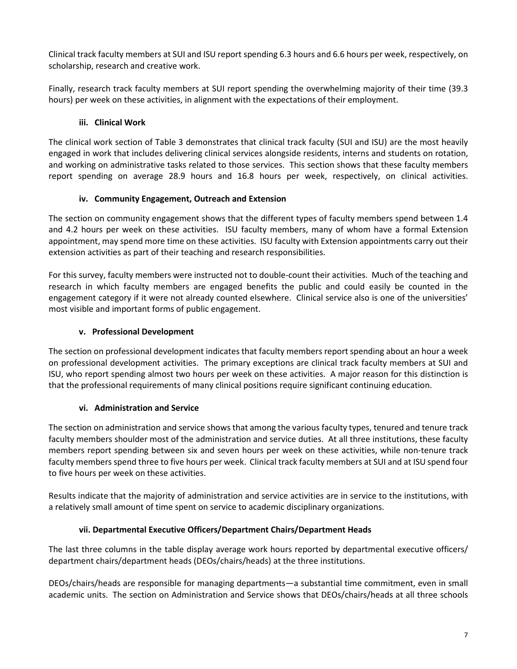Clinical track faculty members at SUI and ISU report spending 6.3 hours and 6.6 hours per week, respectively, on scholarship, research and creative work.

Finally, research track faculty members at SUI report spending the overwhelming majority of their time (39.3 hours) per week on these activities, in alignment with the expectations of their employment.

# **iii. Clinical Work**

The clinical work section of Table 3 demonstrates that clinical track faculty (SUI and ISU) are the most heavily engaged in work that includes delivering clinical services alongside residents, interns and students on rotation, and working on administrative tasks related to those services. This section shows that these faculty members report spending on average 28.9 hours and 16.8 hours per week, respectively, on clinical activities.

#### **iv. Community Engagement, Outreach and Extension**

The section on community engagement shows that the different types of faculty members spend between 1.4 and 4.2 hours per week on these activities. ISU faculty members, many of whom have a formal Extension appointment, may spend more time on these activities. ISU faculty with Extension appointments carry out their extension activities as part of their teaching and research responsibilities.

For this survey, faculty members were instructed not to double-count their activities. Much of the teaching and research in which faculty members are engaged benefits the public and could easily be counted in the engagement category if it were not already counted elsewhere. Clinical service also is one of the universities' most visible and important forms of public engagement.

# **v. Professional Development**

The section on professional development indicates that faculty members report spending about an hour a week on professional development activities. The primary exceptions are clinical track faculty members at SUI and ISU, who report spending almost two hours per week on these activities. A major reason for this distinction is that the professional requirements of many clinical positions require significant continuing education.

#### **vi. Administration and Service**

The section on administration and service shows that among the various faculty types, tenured and tenure track faculty members shoulder most of the administration and service duties. At all three institutions, these faculty members report spending between six and seven hours per week on these activities, while non-tenure track faculty members spend three to five hours per week. Clinical track faculty members at SUI and at ISU spend four to five hours per week on these activities.

Results indicate that the majority of administration and service activities are in service to the institutions, with a relatively small amount of time spent on service to academic disciplinary organizations.

# **vii. Departmental Executive Officers/Department Chairs/Department Heads**

The last three columns in the table display average work hours reported by departmental executive officers/ department chairs/department heads (DEOs/chairs/heads) at the three institutions.

DEOs/chairs/heads are responsible for managing departments—a substantial time commitment, even in small academic units. The section on Administration and Service shows that DEOs/chairs/heads at all three schools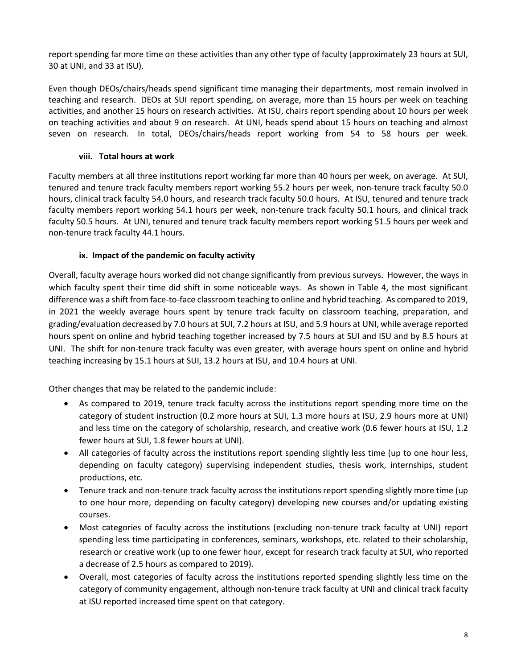report spending far more time on these activities than any other type of faculty (approximately 23 hours at SUI, 30 at UNI, and 33 at ISU).

Even though DEOs/chairs/heads spend significant time managing their departments, most remain involved in teaching and research. DEOs at SUI report spending, on average, more than 15 hours per week on teaching activities, and another 15 hours on research activities. At ISU, chairs report spending about 10 hours per week on teaching activities and about 9 on research. At UNI, heads spend about 15 hours on teaching and almost seven on research. In total, DEOs/chairs/heads report working from 54 to 58 hours per week.

### **viii. Total hours at work**

Faculty members at all three institutions report working far more than 40 hours per week, on average. At SUI, tenured and tenure track faculty members report working 55.2 hours per week, non-tenure track faculty 50.0 hours, clinical track faculty 54.0 hours, and research track faculty 50.0 hours. At ISU, tenured and tenure track faculty members report working 54.1 hours per week, non-tenure track faculty 50.1 hours, and clinical track faculty 50.5 hours. At UNI, tenured and tenure track faculty members report working 51.5 hours per week and non-tenure track faculty 44.1 hours.

# **ix. Impact of the pandemic on faculty activity**

Overall, faculty average hours worked did not change significantly from previous surveys. However, the ways in which faculty spent their time did shift in some noticeable ways. As shown in Table 4, the most significant difference was a shift from face-to-face classroom teaching to online and hybrid teaching. As compared to 2019, in 2021 the weekly average hours spent by tenure track faculty on classroom teaching, preparation, and grading/evaluation decreased by 7.0 hours at SUI, 7.2 hours at ISU, and 5.9 hours at UNI, while average reported hours spent on online and hybrid teaching together increased by 7.5 hours at SUI and ISU and by 8.5 hours at UNI. The shift for non-tenure track faculty was even greater, with average hours spent on online and hybrid teaching increasing by 15.1 hours at SUI, 13.2 hours at ISU, and 10.4 hours at UNI.

Other changes that may be related to the pandemic include:

- As compared to 2019, tenure track faculty across the institutions report spending more time on the category of student instruction (0.2 more hours at SUI, 1.3 more hours at ISU, 2.9 hours more at UNI) and less time on the category of scholarship, research, and creative work (0.6 fewer hours at ISU, 1.2 fewer hours at SUI, 1.8 fewer hours at UNI).
- All categories of faculty across the institutions report spending slightly less time (up to one hour less, depending on faculty category) supervising independent studies, thesis work, internships, student productions, etc.
- Tenure track and non-tenure track faculty across the institutions report spending slightly more time (up to one hour more, depending on faculty category) developing new courses and/or updating existing courses.
- Most categories of faculty across the institutions (excluding non-tenure track faculty at UNI) report spending less time participating in conferences, seminars, workshops, etc. related to their scholarship, research or creative work (up to one fewer hour, except for research track faculty at SUI, who reported a decrease of 2.5 hours as compared to 2019).
- Overall, most categories of faculty across the institutions reported spending slightly less time on the category of community engagement, although non-tenure track faculty at UNI and clinical track faculty at ISU reported increased time spent on that category.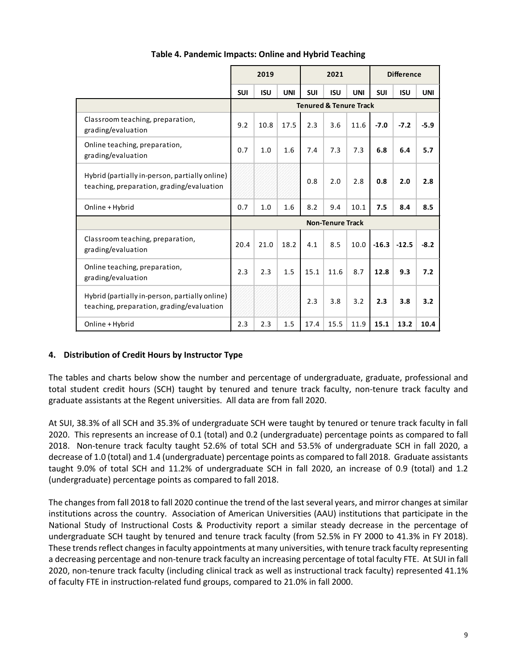|                                                                                             | 2019<br>2021 |            |            |            | <b>Difference</b>       |                                   |            |            |            |
|---------------------------------------------------------------------------------------------|--------------|------------|------------|------------|-------------------------|-----------------------------------|------------|------------|------------|
|                                                                                             | <b>SUI</b>   | <b>ISU</b> | <b>UNI</b> | <b>SUI</b> | <b>ISU</b>              | <b>UNI</b>                        | <b>SUI</b> | <b>ISU</b> | <b>UNI</b> |
|                                                                                             |              |            |            |            |                         | <b>Tenured &amp; Tenure Track</b> |            |            |            |
| Classroom teaching, preparation,<br>grading/evaluation                                      | 9.2          | 10.8       | 17.5       | 2.3        | 3.6                     | 11.6                              | $-7.0$     | $-7.2$     | $-5.9$     |
| Online teaching, preparation,<br>grading/evaluation                                         | 0.7          | 1.0        | 1.6        | 7.4        | 7.3                     | 7.3                               | 6.8        | 6.4        | 5.7        |
| Hybrid (partially in-person, partially online)<br>teaching, preparation, grading/evaluation |              |            |            | 0.8        | 2.0                     | 2.8                               | 0.8        | 2.0        | 2.8        |
| Online + Hybrid                                                                             | 0.7          | 1.0        | 1.6        | 8.2        | 9.4                     | 10.1                              | 7.5        | 8.4        | 8.5        |
|                                                                                             |              |            |            |            | <b>Non-Tenure Track</b> |                                   |            |            |            |
| Classroom teaching, preparation,<br>grading/evaluation                                      | 20.4         | 21.0       | 18.2       | 4.1        | 8.5                     | 10.0                              | $-16.3$    | $-12.5$    | $-8.2$     |
| Online teaching, preparation,<br>grading/evaluation                                         | 2.3          | 2.3        | 1.5        | 15.1       | 11.6                    | 8.7                               | 12.8       | 9.3        | 7.2        |
| Hybrid (partially in-person, partially online)<br>teaching, preparation, grading/evaluation |              |            |            | 2.3        | 3.8                     | 3.2                               | 2.3        | 3.8        | 3.2        |
| Online + Hybrid                                                                             | 2.3          | 2.3        | 1.5        | 17.4       | 15.5                    | 11.9                              | 15.1       | 13.2       | 10.4       |

#### **Table 4. Pandemic Impacts: Online and Hybrid Teaching**

#### **4. Distribution of Credit Hours by Instructor Type**

The tables and charts below show the number and percentage of undergraduate, graduate, professional and total student credit hours (SCH) taught by tenured and tenure track faculty, non-tenure track faculty and graduate assistants at the Regent universities. All data are from fall 2020.

At SUI, 38.3% of all SCH and 35.3% of undergraduate SCH were taught by tenured or tenure track faculty in fall 2020. This represents an increase of 0.1 (total) and 0.2 (undergraduate) percentage points as compared to fall 2018. Non-tenure track faculty taught 52.6% of total SCH and 53.5% of undergraduate SCH in fall 2020, a decrease of 1.0 (total) and 1.4 (undergraduate) percentage points as compared to fall 2018. Graduate assistants taught 9.0% of total SCH and 11.2% of undergraduate SCH in fall 2020, an increase of 0.9 (total) and 1.2 (undergraduate) percentage points as compared to fall 2018.

The changes from fall 2018 to fall 2020 continue the trend of the last several years, and mirror changes at similar institutions across the country. Association of American Universities (AAU) institutions that participate in the National Study of Instructional Costs & Productivity report a similar steady decrease in the percentage of undergraduate SCH taught by tenured and tenure track faculty (from 52.5% in FY 2000 to 41.3% in FY 2018). These trends reflect changes in faculty appointments at many universities, with tenure track faculty representing a decreasing percentage and non-tenure track faculty an increasing percentage of total faculty FTE. At SUI in fall 2020, non-tenure track faculty (including clinical track as well as instructional track faculty) represented 41.1% of faculty FTE in instruction-related fund groups, compared to 21.0% in fall 2000.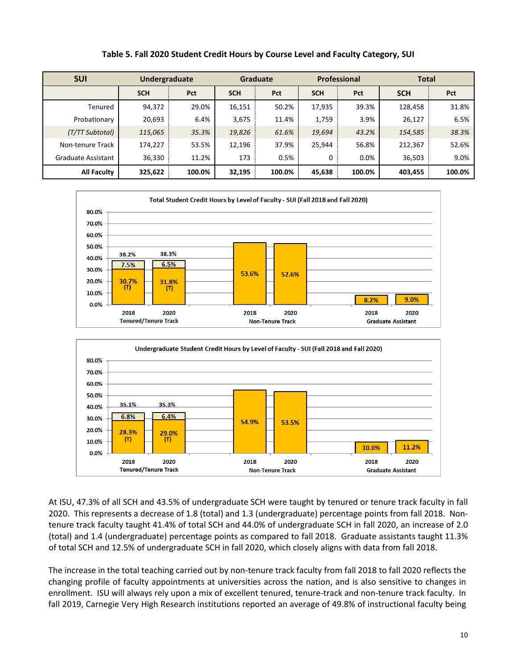| <b>SUI</b>         | Undergraduate |        | <b>Graduate</b> |        |            | <b>Professional</b> | <b>Total</b> |        |  |
|--------------------|---------------|--------|-----------------|--------|------------|---------------------|--------------|--------|--|
|                    | <b>SCH</b>    | Pct    | <b>SCH</b>      | Pct    | <b>SCH</b> | Pct                 | <b>SCH</b>   | Pct    |  |
| Tenured            | 94,372        | 29.0%  | 16,151          | 50.2%  | 17,935     | 39.3%               | 128,458      | 31.8%  |  |
| Probationary       | 20,693        | 6.4%   | 3,675           | 11.4%  | 1,759      | 3.9%                | 26,127       | 6.5%   |  |
| (T/TT Subtotal)    | 115,065       | 35.3%  | 19,826          | 61.6%  | 19,694     | 43.2%               | 154,585      | 38.3%  |  |
| Non-tenure Track   | 174,227       | 53.5%  | 12,196          | 37.9%  | 25,944     | 56.8%               | 212,367      | 52.6%  |  |
| Graduate Assistant | 36,330        | 11.2%  | 173             | 0.5%   | 0          | 0.0%                | 36,503       | 9.0%   |  |
| <b>All Faculty</b> | 325,622       | 100.0% | 32,195          | 100.0% | 45,638     | 100.0%              | 403,455      | 100.0% |  |

#### **Table 5. Fall 2020 Student Credit Hours by Course Level and Faculty Category, SUI**





At ISU, 47.3% of all SCH and 43.5% of undergraduate SCH were taught by tenured or tenure track faculty in fall 2020. This represents a decrease of 1.8 (total) and 1.3 (undergraduate) percentage points from fall 2018. Nontenure track faculty taught 41.4% of total SCH and 44.0% of undergraduate SCH in fall 2020, an increase of 2.0 (total) and 1.4 (undergraduate) percentage points as compared to fall 2018. Graduate assistants taught 11.3% of total SCH and 12.5% of undergraduate SCH in fall 2020, which closely aligns with data from fall 2018.

The increase in the total teaching carried out by non-tenure track faculty from fall 2018 to fall 2020 reflects the changing profile of faculty appointments at universities across the nation, and is also sensitive to changes in enrollment. ISU will always rely upon a mix of excellent tenured, tenure-track and non-tenure track faculty. In fall 2019, Carnegie Very High Research institutions reported an average of 49.8% of instructional faculty being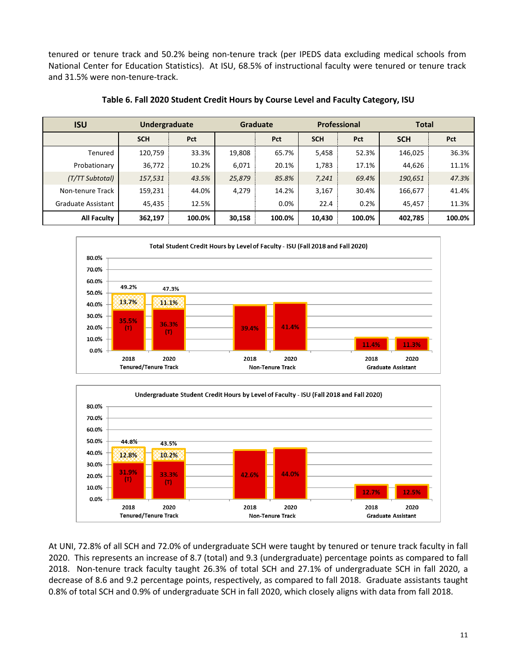tenured or tenure track and 50.2% being non-tenure track (per IPEDS data excluding medical schools from National Center for Education Statistics). At ISU, 68.5% of instructional faculty were tenured or tenure track and 31.5% were non-tenure-track.

| <b>ISU</b>                | Undergraduate |        |        | <b>Graduate</b> |            | <b>Professional</b> | <b>Total</b> |        |  |
|---------------------------|---------------|--------|--------|-----------------|------------|---------------------|--------------|--------|--|
|                           | <b>SCH</b>    | Pct    |        | Pct             | <b>SCH</b> | Pct                 | <b>SCH</b>   | Pct    |  |
| Tenured                   | 120,759       | 33.3%  | 19,808 | 65.7%           | 5,458      | 52.3%               | 146,025      | 36.3%  |  |
| Probationary              | 36,772        | 10.2%  | 6,071  | 20.1%           | 1,783      | 17.1%               | 44,626       | 11.1%  |  |
| (T/TT Subtotal)           | 157,531       | 43.5%  | 25,879 | 85.8%           | 7,241      | 69.4%               | 190,651      | 47.3%  |  |
| Non-tenure Track          | 159,231       | 44.0%  | 4,279  | 14.2%           | 3,167      | 30.4%               | 166,677      | 41.4%  |  |
| <b>Graduate Assistant</b> | 45,435        | 12.5%  |        | 0.0%            | 22.4       | 0.2%                | 45,457       | 11.3%  |  |
| <b>All Faculty</b>        | 362,197       | 100.0% | 30,158 | 100.0%          | 10,430     | 100.0%              | 402,785      | 100.0% |  |

**Table 6. Fall 2020 Student Credit Hours by Course Level and Faculty Category, ISU**





At UNI, 72.8% of all SCH and 72.0% of undergraduate SCH were taught by tenured or tenure track faculty in fall 2020. This represents an increase of 8.7 (total) and 9.3 (undergraduate) percentage points as compared to fall 2018. Non-tenure track faculty taught 26.3% of total SCH and 27.1% of undergraduate SCH in fall 2020, a decrease of 8.6 and 9.2 percentage points, respectively, as compared to fall 2018. Graduate assistants taught 0.8% of total SCH and 0.9% of undergraduate SCH in fall 2020, which closely aligns with data from fall 2018.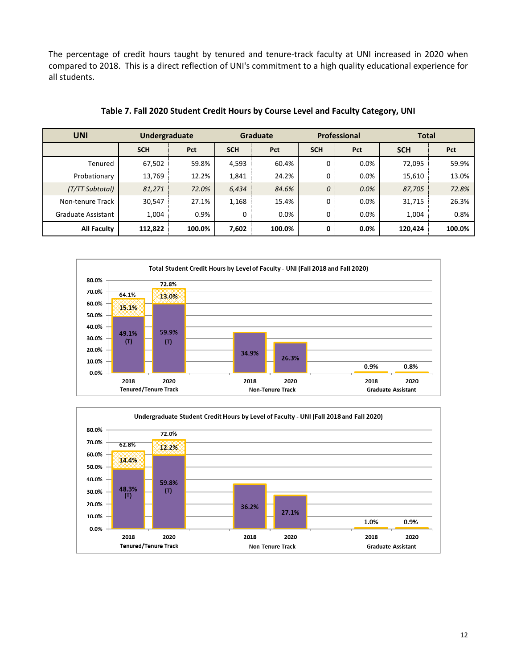The percentage of credit hours taught by tenured and tenure-track faculty at UNI increased in 2020 when compared to 2018. This is a direct reflection of UNI's commitment to a high quality educational experience for all students.

| <b>UNI</b>         | Undergraduate |        | <b>Graduate</b> |            |            | Professional | <b>Total</b> |        |  |
|--------------------|---------------|--------|-----------------|------------|------------|--------------|--------------|--------|--|
|                    | <b>SCH</b>    | Pct    | <b>SCH</b>      | <b>Pct</b> | <b>SCH</b> | Pct          | <b>SCH</b>   | Pct    |  |
| Tenured            | 67,502        | 59.8%  | 4,593           | 60.4%      | 0          | 0.0%         | 72,095       | 59.9%  |  |
| Probationary       | 13,769        | 12.2%  | 1,841           | 24.2%      | 0          | 0.0%         | 15,610       | 13.0%  |  |
| (T/TT Subtotal)    | 81,271        | 72.0%  | 6,434           | 84.6%      | 0          | 0.0%         | 87,705       | 72.8%  |  |
| Non-tenure Track   | 30,547        | 27.1%  | 1,168           | 15.4%      | 0          | 0.0%         | 31,715       | 26.3%  |  |
| Graduate Assistant | 1.004         | 0.9%   | 0               | $0.0\%$    | 0          | 0.0%         | 1,004        | 0.8%   |  |
| <b>All Faculty</b> | 112,822       | 100.0% | 7,602           | 100.0%     | 0          | 0.0%         | 120,424      | 100.0% |  |

**Table 7. Fall 2020 Student Credit Hours by Course Level and Faculty Category, UNI**